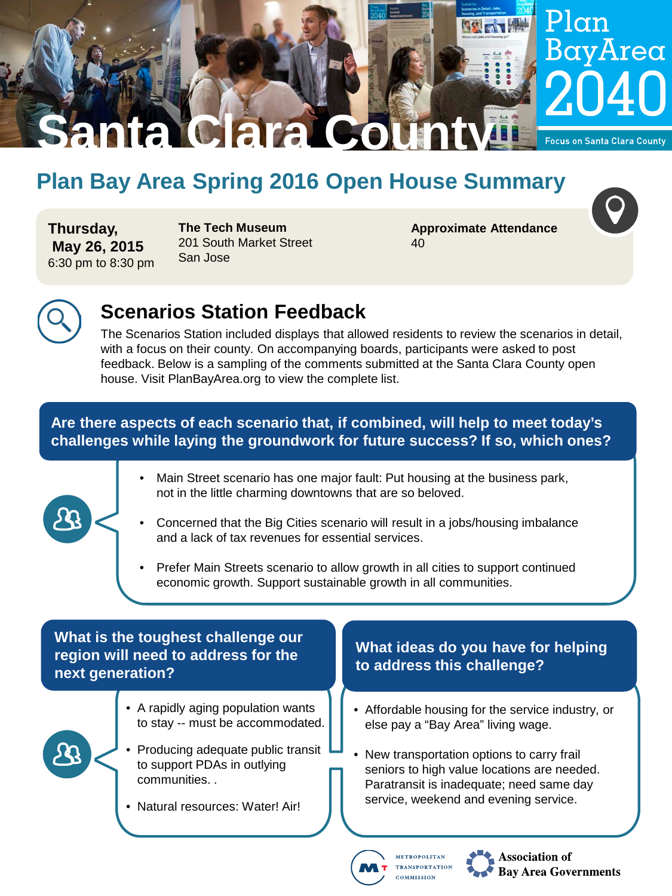

# **Plan Bay Area Spring 2016 Open House Summary**

**Thursday, May 26, 2015** 6:30 pm to 8:30 pm **The Tech Museum** 201 South Market Street San Jose

**Approximate Attendance** 40





# **Scenarios Station Feedback**

The Scenarios Station included displays that allowed residents to review the scenarios in detail, with a focus on their county. On accompanying boards, participants were asked to post feedback. Below is a sampling of the comments submitted at the Santa Clara County open house. Visit PlanBayArea.org to view the complete list.

## **Are there aspects of each scenario that, if combined, will help to meet today's challenges while laying the groundwork for future success? If so, which ones?**



- Main Street scenario has one major fault: Put housing at the business park, not in the little charming downtowns that are so beloved.
- Concerned that the Big Cities scenario will result in a jobs/housing imbalance and a lack of tax revenues for essential services.
- Prefer Main Streets scenario to allow growth in all cities to support continued economic growth. Support sustainable growth in all communities.

### **What is the toughest challenge our region will need to address for the next generation?**

- A rapidly aging population wants to stay -- must be accommodated.
- Producing adequate public transit to support PDAs in outlying communities. .
- Natural resources: Water! Air!

### **What ideas do you have for helping to address this challenge?**

- Affordable housing for the service industry, or else pay a "Bay Area" living wage.
- New transportation options to carry frail seniors to high value locations are needed. Paratransit is inadequate; need same day service, weekend and evening service.



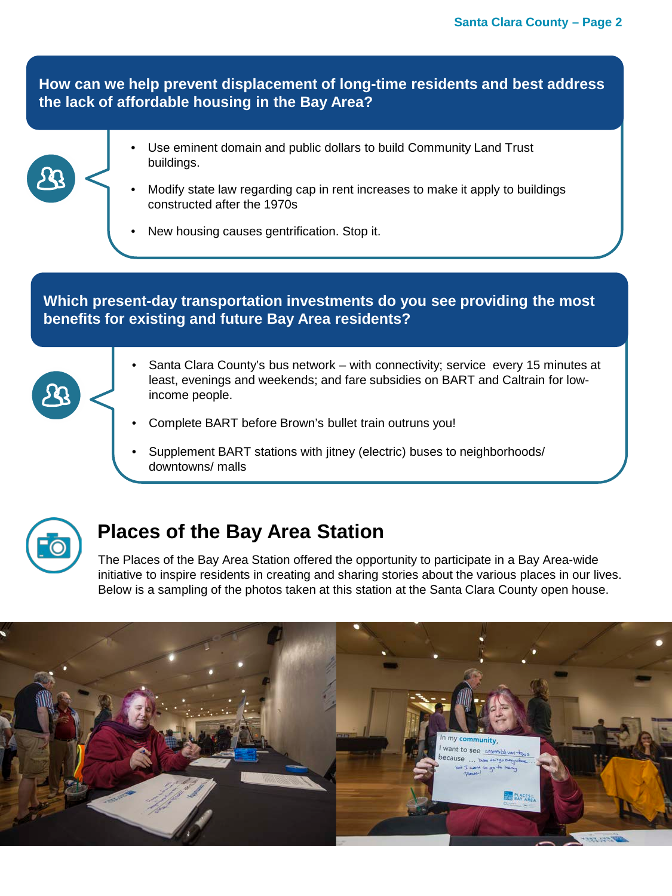**How can we help prevent displacement of long-time residents and best address the lack of affordable housing in the Bay Area?**

- 
- Use eminent domain and public dollars to build Community Land Trust buildings.
- Modify state law regarding cap in rent increases to make it apply to buildings constructed after the 1970s
- New housing causes gentrification. Stop it.

#### **Which present-day transportation investments do you see providing the most benefits for existing and future Bay Area residents?**



- Santa Clara County's bus network with connectivity; service every 15 minutes at least, evenings and weekends; and fare subsidies on BART and Caltrain for lowincome people.
- Complete BART before Brown's bullet train outruns you!
- Supplement BART stations with jitney (electric) buses to neighborhoods/ downtowns/ malls



# **Places of the Bay Area Station**

The Places of the Bay Area Station offered the opportunity to participate in a Bay Area-wide initiative to inspire residents in creating and sharing stories about the various places in our lives. Below is a sampling of the photos taken at this station at the Santa Clara County open house.

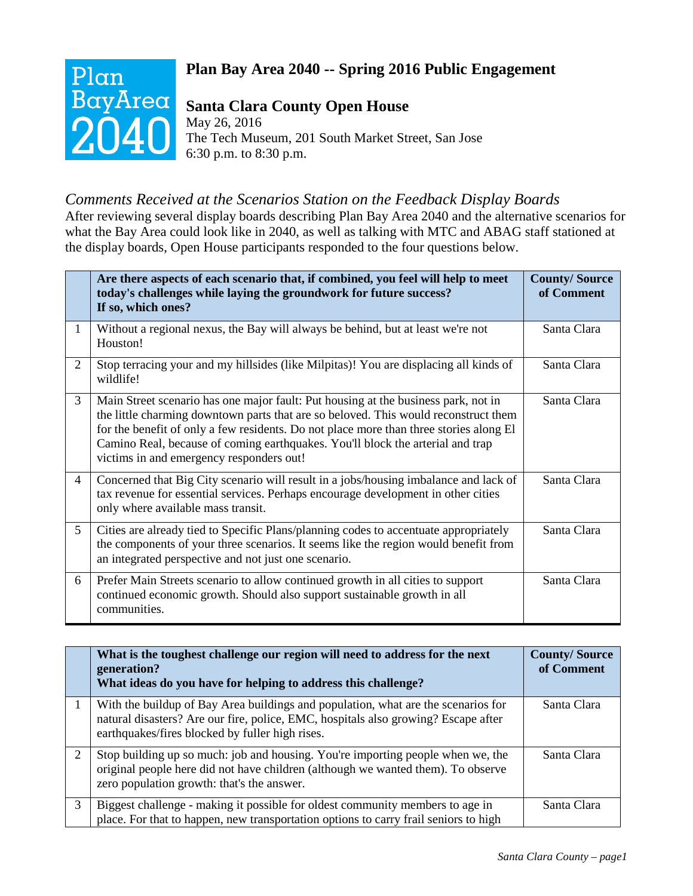# Plan<br>BayArea

# **Plan Bay Area 2040 -- Spring 2016 Public Engagement**

# **Santa Clara County Open House**

May 26, 2016 The Tech Museum, 201 South Market Street, San Jose 6:30 p.m. to 8:30 p.m.

## *Comments Received at the Scenarios Station on the Feedback Display Boards*

After reviewing several display boards describing Plan Bay Area 2040 and the alternative scenarios for what the Bay Area could look like in 2040, as well as talking with MTC and ABAG staff stationed at the display boards, Open House participants responded to the four questions below.

|                | Are there aspects of each scenario that, if combined, you feel will help to meet<br>today's challenges while laying the groundwork for future success?<br>If so, which ones?                                                                                                                                                                                                                      | <b>County/Source</b><br>of Comment |
|----------------|---------------------------------------------------------------------------------------------------------------------------------------------------------------------------------------------------------------------------------------------------------------------------------------------------------------------------------------------------------------------------------------------------|------------------------------------|
| $\mathbf{1}$   | Without a regional nexus, the Bay will always be behind, but at least we're not<br>Houston!                                                                                                                                                                                                                                                                                                       | Santa Clara                        |
| 2              | Stop terracing your and my hillsides (like Milpitas)! You are displacing all kinds of<br>wildlife!                                                                                                                                                                                                                                                                                                | Santa Clara                        |
| $\overline{3}$ | Main Street scenario has one major fault: Put housing at the business park, not in<br>the little charming downtown parts that are so beloved. This would reconstruct them<br>for the benefit of only a few residents. Do not place more than three stories along El<br>Camino Real, because of coming earthquakes. You'll block the arterial and trap<br>victims in and emergency responders out! | Santa Clara                        |
| $\overline{4}$ | Concerned that Big City scenario will result in a jobs/housing imbalance and lack of<br>tax revenue for essential services. Perhaps encourage development in other cities<br>only where available mass transit.                                                                                                                                                                                   | Santa Clara                        |
| 5 <sup>5</sup> | Cities are already tied to Specific Plans/planning codes to accentuate appropriately<br>the components of your three scenarios. It seems like the region would benefit from<br>an integrated perspective and not just one scenario.                                                                                                                                                               | Santa Clara                        |
| 6              | Prefer Main Streets scenario to allow continued growth in all cities to support<br>continued economic growth. Should also support sustainable growth in all<br>communities.                                                                                                                                                                                                                       | Santa Clara                        |

|                | What is the toughest challenge our region will need to address for the next<br>generation?<br>What ideas do you have for helping to address this challenge?                                                                | <b>County/Source</b><br>of Comment |
|----------------|----------------------------------------------------------------------------------------------------------------------------------------------------------------------------------------------------------------------------|------------------------------------|
|                | With the buildup of Bay Area buildings and population, what are the scenarios for<br>natural disasters? Are our fire, police, EMC, hospitals also growing? Escape after<br>earthquakes/fires blocked by fuller high rises. | Santa Clara                        |
| $\overline{2}$ | Stop building up so much: job and housing. You're importing people when we, the<br>original people here did not have children (although we wanted them). To observe<br>zero population growth: that's the answer.          | Santa Clara                        |
| 3              | Biggest challenge - making it possible for oldest community members to age in<br>place. For that to happen, new transportation options to carry frail seniors to high                                                      | Santa Clara                        |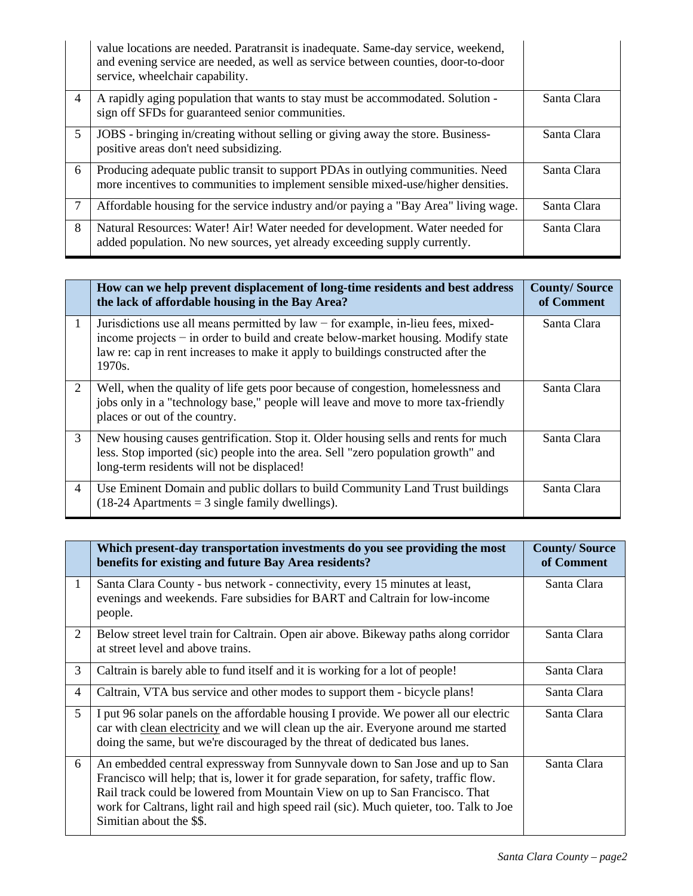|                | value locations are needed. Paratransit is inadequate. Same-day service, weekend,<br>and evening service are needed, as well as service between counties, door-to-door<br>service, wheelchair capability. |             |
|----------------|-----------------------------------------------------------------------------------------------------------------------------------------------------------------------------------------------------------|-------------|
| $\overline{4}$ | A rapidly aging population that wants to stay must be accommodated. Solution -<br>sign off SFDs for guaranteed senior communities.                                                                        | Santa Clara |
| $5^{\circ}$    | JOBS - bringing in/creating without selling or giving away the store. Business-<br>positive areas don't need subsidizing.                                                                                 | Santa Clara |
| 6              | Producing adequate public transit to support PDAs in outlying communities. Need<br>more incentives to communities to implement sensible mixed-use/higher densities.                                       | Santa Clara |
| 7              | Affordable housing for the service industry and/or paying a "Bay Area" living wage.                                                                                                                       | Santa Clara |
| 8              | Natural Resources: Water! Air! Water needed for development. Water needed for<br>added population. No new sources, yet already exceeding supply currently.                                                | Santa Clara |

|                | How can we help prevent displacement of long-time residents and best address<br>the lack of affordable housing in the Bay Area?                                                                                                                                        | <b>County/Source</b><br>of Comment |
|----------------|------------------------------------------------------------------------------------------------------------------------------------------------------------------------------------------------------------------------------------------------------------------------|------------------------------------|
| $\mathbf{1}$   | Jurisdictions use all means permitted by $law$ – for example, in-lieu fees, mixed-<br>income projects – in order to build and create below-market housing. Modify state<br>law re: cap in rent increases to make it apply to buildings constructed after the<br>1970s. | Santa Clara                        |
| 2              | Well, when the quality of life gets poor because of congestion, homelessness and<br>jobs only in a "technology base," people will leave and move to more tax-friendly<br>places or out of the country.                                                                 | Santa Clara                        |
| 3              | New housing causes gentrification. Stop it. Older housing sells and rents for much<br>less. Stop imported (sic) people into the area. Sell "zero population growth" and<br>long-term residents will not be displaced!                                                  | Santa Clara                        |
| $\overline{4}$ | Use Eminent Domain and public dollars to build Community Land Trust buildings<br>$(18-24$ Apartments = 3 single family dwellings).                                                                                                                                     | Santa Clara                        |

|                | Which present-day transportation investments do you see providing the most<br>benefits for existing and future Bay Area residents?                                                                                                                                                                                                                                           | <b>County/Source</b><br>of Comment |
|----------------|------------------------------------------------------------------------------------------------------------------------------------------------------------------------------------------------------------------------------------------------------------------------------------------------------------------------------------------------------------------------------|------------------------------------|
| $\mathbf{1}$   | Santa Clara County - bus network - connectivity, every 15 minutes at least,<br>evenings and weekends. Fare subsidies for BART and Caltrain for low-income<br>people.                                                                                                                                                                                                         | Santa Clara                        |
| 2              | Below street level train for Caltrain. Open air above. Bikeway paths along corridor<br>at street level and above trains.                                                                                                                                                                                                                                                     | Santa Clara                        |
| 3              | Caltrain is barely able to fund itself and it is working for a lot of people!                                                                                                                                                                                                                                                                                                | Santa Clara                        |
| $\overline{4}$ | Caltrain, VTA bus service and other modes to support them - bicycle plans!                                                                                                                                                                                                                                                                                                   | Santa Clara                        |
| 5 <sup>1</sup> | I put 96 solar panels on the affordable housing I provide. We power all our electric<br>car with clean electricity and we will clean up the air. Everyone around me started<br>doing the same, but we're discouraged by the threat of dedicated bus lanes.                                                                                                                   | Santa Clara                        |
| 6              | An embedded central expressway from Sunnyvale down to San Jose and up to San<br>Francisco will help; that is, lower it for grade separation, for safety, traffic flow.<br>Rail track could be lowered from Mountain View on up to San Francisco. That<br>work for Caltrans, light rail and high speed rail (sic). Much quieter, too. Talk to Joe<br>Simitian about the \$\$. | Santa Clara                        |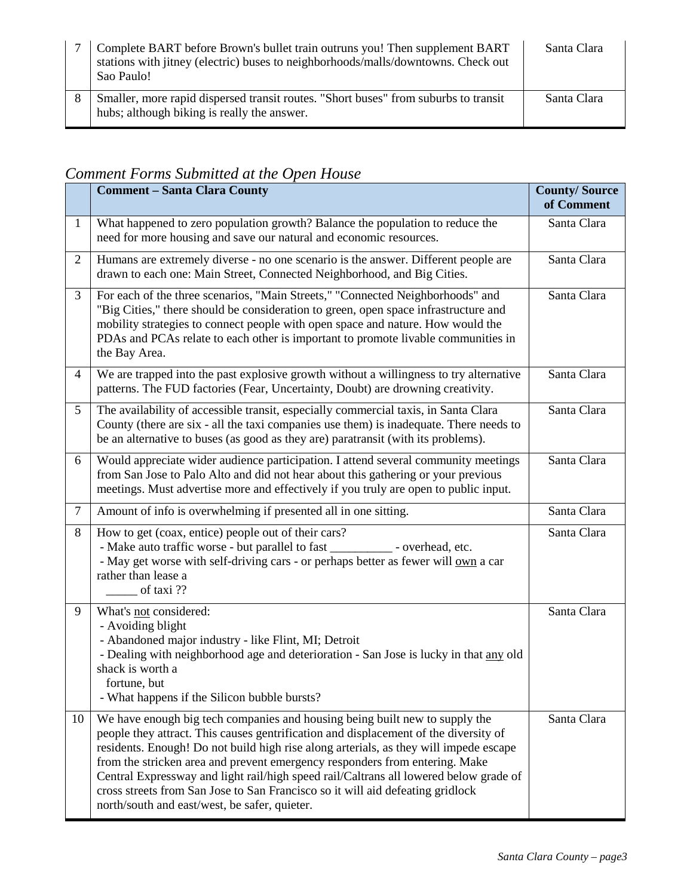|  | Complete BART before Brown's bullet train outruns you! Then supplement BART<br>stations with jitney (electric) buses to neighborhoods/malls/downtowns. Check out<br>Sao Paulo! | Santa Clara |
|--|--------------------------------------------------------------------------------------------------------------------------------------------------------------------------------|-------------|
|  | Smaller, more rapid dispersed transit routes. "Short buses" from suburbs to transit<br>hubs; although biking is really the answer.                                             | Santa Clara |

# *Comment Forms Submitted at the Open House*

|                | <b>Comment - Santa Clara County</b>                                                                                                                                                                                                                                                                                                                                                                                                                                                                                                                                     | <b>County/Source</b><br>of Comment |
|----------------|-------------------------------------------------------------------------------------------------------------------------------------------------------------------------------------------------------------------------------------------------------------------------------------------------------------------------------------------------------------------------------------------------------------------------------------------------------------------------------------------------------------------------------------------------------------------------|------------------------------------|
| $\mathbf{1}$   | What happened to zero population growth? Balance the population to reduce the<br>need for more housing and save our natural and economic resources.                                                                                                                                                                                                                                                                                                                                                                                                                     | Santa Clara                        |
| $\overline{2}$ | Humans are extremely diverse - no one scenario is the answer. Different people are<br>drawn to each one: Main Street, Connected Neighborhood, and Big Cities.                                                                                                                                                                                                                                                                                                                                                                                                           | Santa Clara                        |
| 3              | For each of the three scenarios, "Main Streets," "Connected Neighborhoods" and<br>"Big Cities," there should be consideration to green, open space infrastructure and<br>mobility strategies to connect people with open space and nature. How would the<br>PDAs and PCAs relate to each other is important to promote livable communities in<br>the Bay Area.                                                                                                                                                                                                          | Santa Clara                        |
| $\overline{4}$ | We are trapped into the past explosive growth without a willingness to try alternative<br>patterns. The FUD factories (Fear, Uncertainty, Doubt) are drowning creativity.                                                                                                                                                                                                                                                                                                                                                                                               | Santa Clara                        |
| 5              | The availability of accessible transit, especially commercial taxis, in Santa Clara<br>County (there are six - all the taxi companies use them) is inadequate. There needs to<br>be an alternative to buses (as good as they are) paratransit (with its problems).                                                                                                                                                                                                                                                                                                      | Santa Clara                        |
| 6              | Would appreciate wider audience participation. I attend several community meetings<br>from San Jose to Palo Alto and did not hear about this gathering or your previous<br>meetings. Must advertise more and effectively if you truly are open to public input.                                                                                                                                                                                                                                                                                                         | Santa Clara                        |
| $\overline{7}$ | Amount of info is overwhelming if presented all in one sitting.                                                                                                                                                                                                                                                                                                                                                                                                                                                                                                         | Santa Clara                        |
| 8              | How to get (coax, entice) people out of their cars?<br>- Make auto traffic worse - but parallel to fast __________ - overhead, etc.<br>- May get worse with self-driving cars - or perhaps better as fewer will own a car<br>rather than lease a<br>$\frac{1}{2}$ of taxi ??                                                                                                                                                                                                                                                                                            | Santa Clara                        |
| 9              | What's not considered:<br>- Avoiding blight<br>- Abandoned major industry - like Flint, MI; Detroit<br>- Dealing with neighborhood age and deterioration - San Jose is lucky in that any old<br>shack is worth a<br>fortune, but<br>- What happens if the Silicon bubble bursts?                                                                                                                                                                                                                                                                                        | Santa Clara                        |
| 10             | We have enough big tech companies and housing being built new to supply the<br>people they attract. This causes gentrification and displacement of the diversity of<br>residents. Enough! Do not build high rise along arterials, as they will impede escape<br>from the stricken area and prevent emergency responders from entering. Make<br>Central Expressway and light rail/high speed rail/Caltrans all lowered below grade of<br>cross streets from San Jose to San Francisco so it will aid defeating gridlock<br>north/south and east/west, be safer, quieter. | Santa Clara                        |